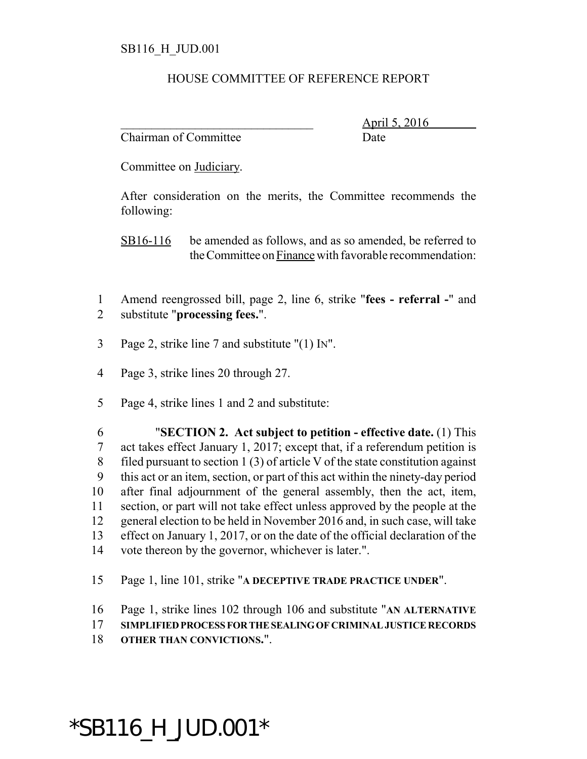## HOUSE COMMITTEE OF REFERENCE REPORT

Chairman of Committee Date

\_\_\_\_\_\_\_\_\_\_\_\_\_\_\_\_\_\_\_\_\_\_\_\_\_\_\_\_\_\_\_ April 5, 2016

Committee on Judiciary.

After consideration on the merits, the Committee recommends the following:

SB16-116 be amended as follows, and as so amended, be referred to the Committee on Finance with favorable recommendation:

- Amend reengrossed bill, page 2, line 6, strike "**fees referral -**" and substitute "**processing fees.**".
- Page 2, strike line 7 and substitute "(1) IN".
- Page 3, strike lines 20 through 27.
- Page 4, strike lines 1 and 2 and substitute:

 "**SECTION 2. Act subject to petition - effective date.** (1) This act takes effect January 1, 2017; except that, if a referendum petition is filed pursuant to section 1 (3) of article V of the state constitution against this act or an item, section, or part of this act within the ninety-day period after final adjournment of the general assembly, then the act, item, section, or part will not take effect unless approved by the people at the general election to be held in November 2016 and, in such case, will take effect on January 1, 2017, or on the date of the official declaration of the vote thereon by the governor, whichever is later.".

- Page 1, line 101, strike "**A DECEPTIVE TRADE PRACTICE UNDER**".
- Page 1, strike lines 102 through 106 and substitute "**AN ALTERNATIVE**
- **SIMPLIFIED PROCESS FOR THE SEALING OF CRIMINAL JUSTICE RECORDS**
- **OTHER THAN CONVICTIONS.**".

## \*SB116\_H\_JUD.001\*